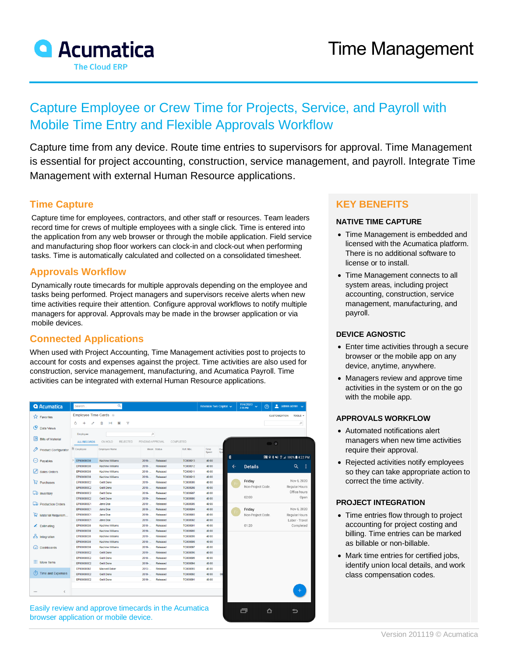

# Capture Employee or Crew Time for Projects, Service, and Payroll with Mobile Time Entry and Flexible Approvals Workflow

Capture time from any device. Route time entries to supervisors for approval. Time Management is essential for project accounting, construction, service management, and payroll. Integrate Time Management with external Human Resource applications.

## **Time Capture**

Capture time for employees, contractors, and other staff or resources. Team leaders record time for crews of multiple employees with a single click. Time is entered into the application from any web browser or through the mobile application. Field service and manufacturing shop floor workers can clock-in and clock-out when performing tasks. Time is automatically calculated and collected on a consolidated timesheet.

## **Approvals Workflow**

Dynamically route timecards for multiple approvals depending on the employee and tasks being performed. Project managers and supervisors receive alerts when new time activities require their attention. Configure approval workflows to notify multiple managers for approval. Approvals may be made in the browser application or via mobile devices.

# **Connected Applications**

When used with Project Accounting, Time Management activities post to projects to account for costs and expenses against the project. Time activities are also used for construction, service management, manufacturing, and Acumatica Payroll. Time activities can be integrated with external Human Resource applications.

| <b>Q</b> Acumatica                               | Search                   | Q                                           |                  |                      |                      |                | Revision Two Capital V | 11/4/2020<br>$\checkmark$<br>2:35 PM | $\odot$                         | $\frac{2}{2}$ admin admin $\sqrt{ }$           |               |
|--------------------------------------------------|--------------------------|---------------------------------------------|------------------|----------------------|----------------------|----------------|------------------------|--------------------------------------|---------------------------------|------------------------------------------------|---------------|
| <b>A</b> Favorites                               | Employee Time Cards *    |                                             |                  |                      |                      |                |                        |                                      |                                 | <b>CUSTOMIZATION</b>                           | TOOLS -       |
|                                                  | Ò<br>$\ddot{}$           | $\mathbf{x}$<br>Y                           |                  |                      |                      |                |                        |                                      |                                 |                                                | Q             |
| ඏ<br>Data Views                                  |                          |                                             |                  |                      |                      |                |                        |                                      |                                 |                                                |               |
| 国<br><b>Bills of Material</b>                    | Employee:                |                                             | ø                |                      |                      |                |                        |                                      |                                 |                                                |               |
|                                                  | <b>ALL RECORDS</b>       | ON HOLD<br>REJECTED                         | PENDING APPROVAL |                      | <b>COMPLETED</b>     |                |                        |                                      | $\bullet$                       |                                                |               |
| <b>Product Configurator</b>                      | <b>E</b> Employee        | Employee Name                               |                  | Week Status          | Ref. Nbr.            | Time<br>Spent  | Ow<br>Spe              |                                      |                                 |                                                |               |
|                                                  |                          |                                             |                  |                      |                      | e              |                        |                                      | <b>同 ♀ * ¥i ☆ 』100%自4:22 PM</b> |                                                |               |
| $(\hbox{--})$<br>Payables<br><b>Sales Orders</b> | EP00000039               | Kachine Williams                            | 2019-            | Released             | TC000913             | 40:00          |                        |                                      |                                 |                                                |               |
|                                                  | EP00000039<br>EP00000039 | Kachine Williams<br><b>Kachine Williams</b> | 2019-            | Released<br>Released | TC000912             | 40:00          | $\leftarrow$           | <b>Details</b>                       |                                 | Q<br>- :                                       |               |
|                                                  | EP00000039               | Kachine Williams                            | 2019-<br>2019-   | Released             | TC000911<br>TC000910 | 40:00<br>40:00 |                        |                                      |                                 |                                                |               |
| ₽<br>Purchases                                   | EP000000C2               | Getit Done                                  | 2019             | Released             | TC000909             | 40:00          |                        | Friday                               |                                 |                                                | Nov 6, 2020   |
|                                                  | EP000000C2               | Getit Done                                  | 2019-            | Released             | <b>TC000908</b>      | 40:00          |                        |                                      | Non-Project Code.               |                                                | Regular Hours |
| <b>Lab</b> Inventory                             | EP000000C2               | Getit Done                                  | 2019-            | Released             | TC000907             | 40:00          |                        |                                      |                                 | Office hours                                   |               |
|                                                  | EP000000C2               | Getit Done                                  | 2019-            | Released             | TC000906             | 40:00          |                        | 02:00                                |                                 |                                                | Open          |
| ロッ<br><b>Production Orders</b>                   | EP000000C1               | Jane Doe                                    | 2019             | Released             | <b>TC000905</b>      | 40:00          |                        |                                      |                                 |                                                |               |
|                                                  | EP000000C1               | Jane Doe                                    | 2019-            | Released             | TC000904             | 40:00          |                        | Friday                               |                                 | Nov 6, 2020<br>Regular Hours<br>Labor - Travel |               |
| 皀<br>Material Requirem                           | EP000000C1               | Jane Doe                                    | 2019             | Released             | TC000903             | 40:00          |                        | Non-Project Code.                    |                                 |                                                |               |
|                                                  | EP000000C1               | <b>Jane Doe</b>                             | $2019 -$         | Released             | TC000902             | 40:00          |                        |                                      |                                 |                                                |               |
| $\angle$ Estimating                              | EP00000039               | <b>Kachine Williams</b>                     | 2019-            | Released             | TC000901             | 40:00          |                        | 01:20                                |                                 |                                                | Completed     |
|                                                  | EP00000039               | Kachine Williams                            | 2019-            | Released             | TC000900             | 40:00          |                        |                                      |                                 |                                                |               |
| do Integration                                   | EP00000039               | <b>Kachine Williams</b>                     | $2019 -$         | Released             | TC000899             | 40:00          |                        |                                      |                                 |                                                |               |
|                                                  | EP00000039               | Kachine Williams                            | $2019 -$         | Released             | <b>TC000898</b>      | 40:00          |                        |                                      |                                 |                                                |               |
| <b>Dashboards</b><br>Ω                           | EP00000039               | Kachine Williams                            | $2019 -$         | Released             | TC000897             | 40:00          |                        |                                      |                                 |                                                |               |
|                                                  | EP000000C2               | Getit Done                                  | 2019-            | Released             | <b>TC000896</b>      | 40:00          |                        |                                      |                                 |                                                |               |
| ::: More Items                                   | EP000000C2               | Getit Done                                  | $2019 -$         | Released             | <b>TC000895</b>      | 40:00          |                        |                                      |                                 |                                                |               |
|                                                  | EP000000C2               | Gett Done                                   | $2019 -$         | Released             | TC000894             | 40:00          |                        |                                      |                                 |                                                |               |
| (1) Time and Expenses                            | EP00000002               | Maxwell Baker                               | $2013 -$         | Released             | TC000893             | 45:00          |                        |                                      |                                 |                                                |               |
|                                                  | EP000000C2               | Getit Done                                  | 2019-            | Released             | TC000892             | 40:00          | 08                     |                                      |                                 |                                                |               |
|                                                  | EP000000C2               | Gett Done                                   | 2019-            | Released             | TC000891             | 40:00          |                        |                                      |                                 |                                                |               |
|                                                  |                          |                                             |                  |                      |                      |                |                        |                                      |                                 |                                                |               |
| $\langle$<br>                                    |                          |                                             |                  |                      |                      |                |                        |                                      |                                 |                                                |               |

 $\blacksquare$ 

ᅀ

 $\overline{\phantom{0}}$ 

Easily review and approve timecards in the Acumatica browser application or mobile device.

# **KEY BENEFITS**

#### **NATIVE TIME CAPTURE**

- Time Management is embedded and licensed with the Acumatica platform. There is no additional software to license or to install.
- Time Management connects to all system areas, including project accounting, construction, service management, manufacturing, and payroll.

#### **DEVICE AGNOSTIC**

- Enter time activities through a secure browser or the mobile app on any device, anytime, anywhere.
- Managers review and approve time activities in the system or on the go with the mobile app.

#### **APPROVALS WORKFLOW**

- Automated notifications alert managers when new time activities require their approval.
- Rejected activities notify employees so they can take appropriate action to correct the time activity.

#### **PROJECT INTEGRATION**

- Time entries flow through to project accounting for project costing and billing. Time entries can be marked as billable or non-billable.
- Mark time entries for certified jobs, identify union local details, and work class compensation codes.